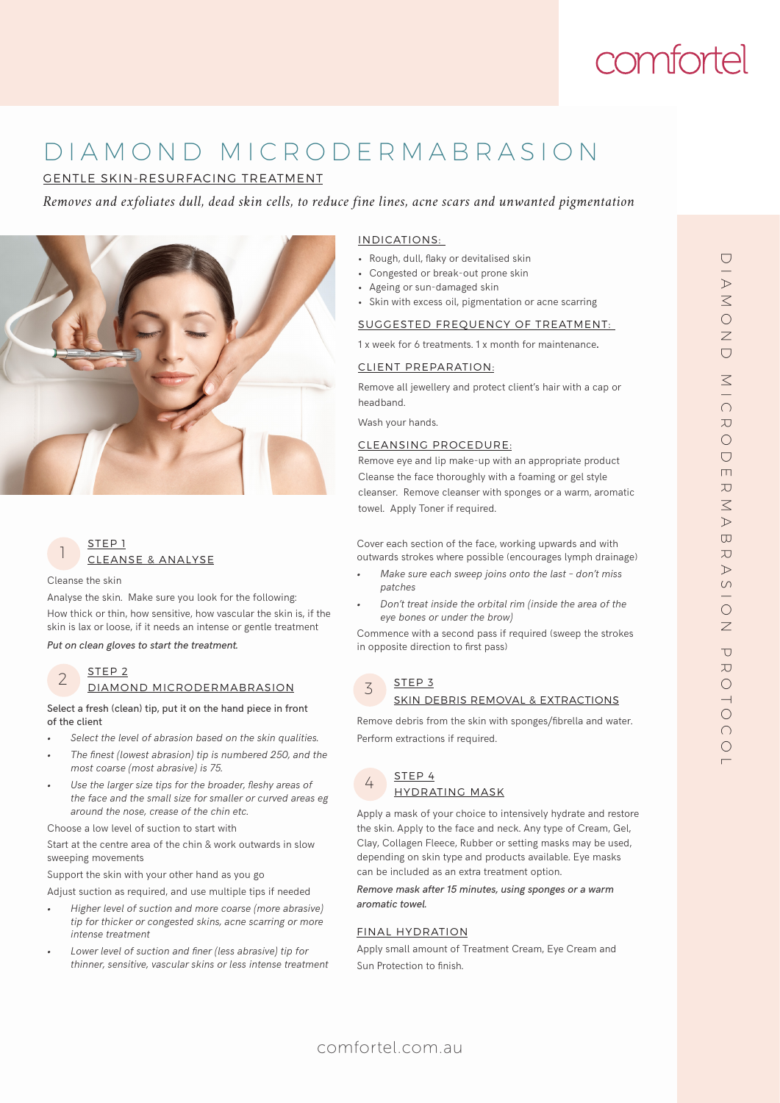# comfortel

## D I A M O N D M I C R O D E R M A B R A S I O N

GENTLE SKIN-RESURFACING TREATMENT

*Removes and exfoliates dull, dead skin cells, to reduce fine lines, acne scars and unwanted pigmentation*





Cleanse the skin

Analyse the skin. Make sure you look for the following: How thick or thin, how sensitive, how vascular the skin is, if the skin is lax or loose, if it needs an intense or gentle treatment

*Put on clean gloves to start the treatment.*

#### STEP 2 DIAMOND MICRODERMABRASION 2

Select a fresh (clean) tip, put it on the hand piece in front of the client

- *• Select the level of abrasion based on the skin qualities.*
- *• The finest (lowest abrasion) tip is numbered 250, and the most coarse (most abrasive) is 75.*
- *• Use the larger size tips for the broader, fleshy areas of the face and the small size for smaller or curved areas eg around the nose, crease of the chin etc.*

Choose a low level of suction to start with

Start at the centre area of the chin & work outwards in slow sweeping movements

Support the skin with your other hand as you go

Adjust suction as required, and use multiple tips if needed

- *• Higher level of suction and more coarse (more abrasive) tip for thicker or congested skins, acne scarring or more intense treatment*
- *• Lower level of suction and finer (less abrasive) tip for thinner, sensitive, vascular skins or less intense treatment*

#### INDICATIONS:

- Rough, dull, flaky or devitalised skin
- Congested or break-out prone skin
- Ageing or sun-damaged skin
- Skin with excess oil, pigmentation or acne scarring

#### SUGGESTED FREQUENCY OF TREATMENT:

1 x week for 6 treatments. 1 x month for maintenance.

#### CLIENT PREPARATION:

Remove all jewellery and protect client's hair with a cap or headband.

Wash your hands.

#### CLEANSING PROCEDURE:

Remove eye and lip make-up with an appropriate product Cleanse the face thoroughly with a foaming or gel style cleanser. Remove cleanser with sponges or a warm, aromatic towel. Apply Toner if required.

Cover each section of the face, working upwards and with outwards strokes where possible (encourages lymph drainage)

- *• Make sure each sweep joins onto the last don't miss patches*
- *• Don't treat inside the orbital rim (inside the area of the eye bones or under the brow)*

Commence with a second pass if required (sweep the strokes in opposite direction to first pass)

#### STEP 3 3

#### SKIN DEBRIS REMOVAL & EXTRACTIONS

Remove debris from the skin with sponges/fibrella and water. Perform extractions if required.



Apply a mask of your choice to intensively hydrate and restore the skin. Apply to the face and neck. Any type of Cream, Gel, Clay, Collagen Fleece, Rubber or setting masks may be used, depending on skin type and products available. Eye masks can be included as an extra treatment option.

*Remove mask after 15 minutes, using sponges or a warm aromatic towel.*

#### FINAL HYDRATION

Apply small amount of Treatment Cream, Eye Cream and Sun Protection to finish.

## comfortel.com.au